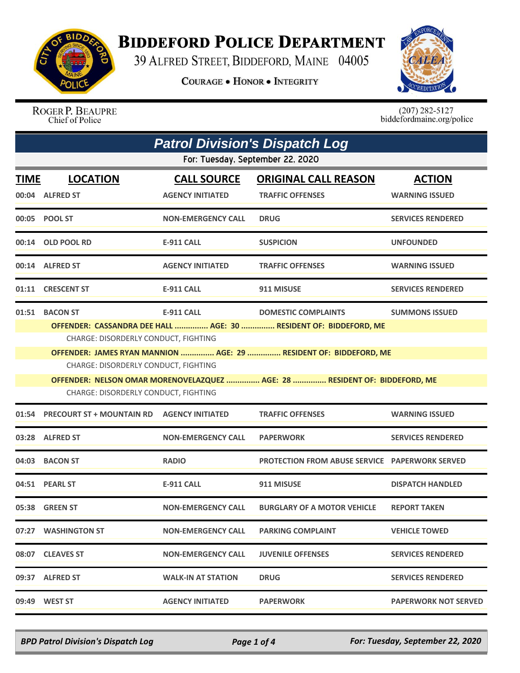

## **BIDDEFORD POLICE DEPARTMENT**

39 ALFRED STREET, BIDDEFORD, MAINE 04005

**COURAGE . HONOR . INTEGRITY** 



ROGER P. BEAUPRE Chief of Police

 $(207)$  282-5127<br>biddefordmaine.org/police

|                                      | <b>Patrol Division's Dispatch Log</b>                                                                     |                                               |                                                                                                 |                                        |  |  |
|--------------------------------------|-----------------------------------------------------------------------------------------------------------|-----------------------------------------------|-------------------------------------------------------------------------------------------------|----------------------------------------|--|--|
|                                      | For: Tuesday, September 22, 2020                                                                          |                                               |                                                                                                 |                                        |  |  |
| <b>TIME</b>                          | <b>LOCATION</b><br>00:04 ALFRED ST                                                                        | <b>CALL SOURCE</b><br><b>AGENCY INITIATED</b> | <b>ORIGINAL CALL REASON</b><br><b>TRAFFIC OFFENSES</b>                                          | <b>ACTION</b><br><b>WARNING ISSUED</b> |  |  |
|                                      | 00:05 POOL ST                                                                                             | <b>NON-EMERGENCY CALL</b>                     | <b>DRUG</b>                                                                                     | <b>SERVICES RENDERED</b>               |  |  |
|                                      | 00:14 OLD POOL RD                                                                                         | E-911 CALL                                    | <b>SUSPICION</b>                                                                                | <b>UNFOUNDED</b>                       |  |  |
|                                      | 00:14 ALFRED ST                                                                                           | <b>AGENCY INITIATED</b>                       | <b>TRAFFIC OFFENSES</b>                                                                         | <b>WARNING ISSUED</b>                  |  |  |
|                                      | 01:11 CRESCENT ST                                                                                         | <b>E-911 CALL</b>                             | 911 MISUSE                                                                                      | <b>SERVICES RENDERED</b>               |  |  |
|                                      | 01:51 BACON ST                                                                                            | <b>E-911 CALL</b>                             | <b>DOMESTIC COMPLAINTS</b><br>OFFENDER: CASSANDRA DEE HALL  AGE: 30  RESIDENT OF: BIDDEFORD, ME | <b>SUMMONS ISSUED</b>                  |  |  |
|                                      | CHARGE: DISORDERLY CONDUCT, FIGHTING<br>OFFENDER: JAMES RYAN MANNION  AGE: 29  RESIDENT OF: BIDDEFORD, ME |                                               |                                                                                                 |                                        |  |  |
|                                      | CHARGE: DISORDERLY CONDUCT, FIGHTING                                                                      |                                               |                                                                                                 |                                        |  |  |
|                                      |                                                                                                           |                                               | OFFENDER: NELSON OMAR MORENOVELAZQUEZ  AGE: 28  RESIDENT OF: BIDDEFORD, ME                      |                                        |  |  |
| CHARGE: DISORDERLY CONDUCT, FIGHTING |                                                                                                           |                                               |                                                                                                 |                                        |  |  |
| 01:54                                | <b>PRECOURT ST + MOUNTAIN RD</b>                                                                          | <b>AGENCY INITIATED</b>                       | <b>TRAFFIC OFFENSES</b>                                                                         | <b>WARNING ISSUED</b>                  |  |  |
|                                      | 03:28 ALFRED ST                                                                                           | <b>NON-EMERGENCY CALL</b>                     | <b>PAPERWORK</b>                                                                                | <b>SERVICES RENDERED</b>               |  |  |
|                                      | 04:03 BACON ST                                                                                            | <b>RADIO</b>                                  | <b>PROTECTION FROM ABUSE SERVICE PAPERWORK SERVED</b>                                           |                                        |  |  |
|                                      | 04:51 PEARL ST                                                                                            | <b>E-911 CALL</b>                             | 911 MISUSE                                                                                      | <b>DISPATCH HANDLED</b>                |  |  |
|                                      | 05:38 GREEN ST                                                                                            | <b>NON-EMERGENCY CALL</b>                     | <b>BURGLARY OF A MOTOR VEHICLE</b>                                                              | <b>REPORT TAKEN</b>                    |  |  |
|                                      | 07:27 WASHINGTON ST                                                                                       | <b>NON-EMERGENCY CALL</b>                     | <b>PARKING COMPLAINT</b>                                                                        | <b>VEHICLE TOWED</b>                   |  |  |
|                                      | 08:07 CLEAVES ST                                                                                          | <b>NON-EMERGENCY CALL</b>                     | <b>JUVENILE OFFENSES</b>                                                                        | <b>SERVICES RENDERED</b>               |  |  |
|                                      | 09:37 ALFRED ST                                                                                           | <b>WALK-IN AT STATION</b>                     | <b>DRUG</b>                                                                                     | <b>SERVICES RENDERED</b>               |  |  |
|                                      | 09:49 WEST ST                                                                                             | <b>AGENCY INITIATED</b>                       | <b>PAPERWORK</b>                                                                                | <b>PAPERWORK NOT SERVED</b>            |  |  |

*BPD Patrol Division's Dispatch Log Page 1 of 4 For: Tuesday, September 22, 2020*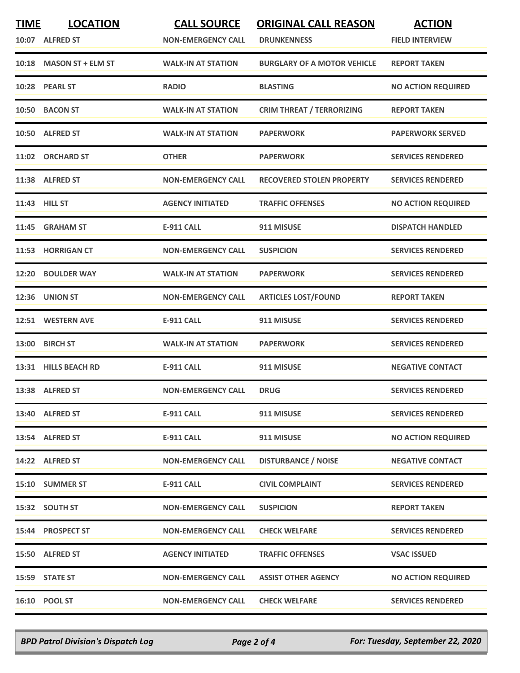| <b>TIME</b> | <b>LOCATION</b><br>10:07 ALFRED ST | <b>CALL SOURCE</b><br><b>NON-EMERGENCY CALL</b> | <b>ORIGINAL CALL REASON</b><br><b>DRUNKENNESS</b> | <b>ACTION</b><br><b>FIELD INTERVIEW</b> |
|-------------|------------------------------------|-------------------------------------------------|---------------------------------------------------|-----------------------------------------|
|             | 10:18 MASON ST + ELM ST            | <b>WALK-IN AT STATION</b>                       | <b>BURGLARY OF A MOTOR VEHICLE</b>                | <b>REPORT TAKEN</b>                     |
|             | 10:28 PEARL ST                     | <b>RADIO</b>                                    | <b>BLASTING</b>                                   | <b>NO ACTION REQUIRED</b>               |
|             | 10:50 BACON ST                     | <b>WALK-IN AT STATION</b>                       | <b>CRIM THREAT / TERRORIZING</b>                  | <b>REPORT TAKEN</b>                     |
|             | 10:50 ALFRED ST                    | <b>WALK-IN AT STATION</b>                       | <b>PAPERWORK</b>                                  | <b>PAPERWORK SERVED</b>                 |
|             | 11:02 ORCHARD ST                   | <b>OTHER</b>                                    | <b>PAPERWORK</b>                                  | <b>SERVICES RENDERED</b>                |
|             | 11:38 ALFRED ST                    | <b>NON-EMERGENCY CALL</b>                       | <b>RECOVERED STOLEN PROPERTY</b>                  | <b>SERVICES RENDERED</b>                |
|             | 11:43 HILL ST                      | <b>AGENCY INITIATED</b>                         | <b>TRAFFIC OFFENSES</b>                           | <b>NO ACTION REQUIRED</b>               |
|             | 11:45 GRAHAM ST                    | <b>E-911 CALL</b>                               | 911 MISUSE                                        | <b>DISPATCH HANDLED</b>                 |
| 11:53       | <b>HORRIGAN CT</b>                 | <b>NON-EMERGENCY CALL</b>                       | <b>SUSPICION</b>                                  | <b>SERVICES RENDERED</b>                |
| 12:20       | <b>BOULDER WAY</b>                 | <b>WALK-IN AT STATION</b>                       | <b>PAPERWORK</b>                                  | <b>SERVICES RENDERED</b>                |
| 12:36       | <b>UNION ST</b>                    | <b>NON-EMERGENCY CALL</b>                       | <b>ARTICLES LOST/FOUND</b>                        | <b>REPORT TAKEN</b>                     |
|             | 12:51 WESTERN AVE                  | <b>E-911 CALL</b>                               | 911 MISUSE                                        | <b>SERVICES RENDERED</b>                |
| 13:00       | <b>BIRCH ST</b>                    | <b>WALK-IN AT STATION</b>                       | <b>PAPERWORK</b>                                  | <b>SERVICES RENDERED</b>                |
|             | 13:31 HILLS BEACH RD               | <b>E-911 CALL</b>                               | 911 MISUSE                                        | <b>NEGATIVE CONTACT</b>                 |
|             | 13:38 ALFRED ST                    | <b>NON-EMERGENCY CALL</b>                       | <b>DRUG</b>                                       | <b>SERVICES RENDERED</b>                |
|             | 13:40 ALFRED ST                    | <b>E-911 CALL</b>                               | 911 MISUSE                                        | <b>SERVICES RENDERED</b>                |
|             | 13:54 ALFRED ST                    | <b>E-911 CALL</b>                               | 911 MISUSE                                        | <b>NO ACTION REQUIRED</b>               |
|             | 14:22 ALFRED ST                    | <b>NON-EMERGENCY CALL</b>                       | <b>DISTURBANCE / NOISE</b>                        | <b>NEGATIVE CONTACT</b>                 |
|             | 15:10 SUMMER ST                    | <b>E-911 CALL</b>                               | <b>CIVIL COMPLAINT</b>                            | <b>SERVICES RENDERED</b>                |
|             | 15:32 SOUTH ST                     | <b>NON-EMERGENCY CALL</b>                       | <b>SUSPICION</b>                                  | <b>REPORT TAKEN</b>                     |
|             | 15:44 PROSPECT ST                  | <b>NON-EMERGENCY CALL</b>                       | <b>CHECK WELFARE</b>                              | <b>SERVICES RENDERED</b>                |
|             | 15:50 ALFRED ST                    | <b>AGENCY INITIATED</b>                         | <b>TRAFFIC OFFENSES</b>                           | <b>VSAC ISSUED</b>                      |
|             | 15:59 STATE ST                     | <b>NON-EMERGENCY CALL</b>                       | <b>ASSIST OTHER AGENCY</b>                        | <b>NO ACTION REQUIRED</b>               |
|             | 16:10 POOL ST                      | <b>NON-EMERGENCY CALL</b>                       | <b>CHECK WELFARE</b>                              | <b>SERVICES RENDERED</b>                |

*BPD Patrol Division's Dispatch Log Page 2 of 4 For: Tuesday, September 22, 2020*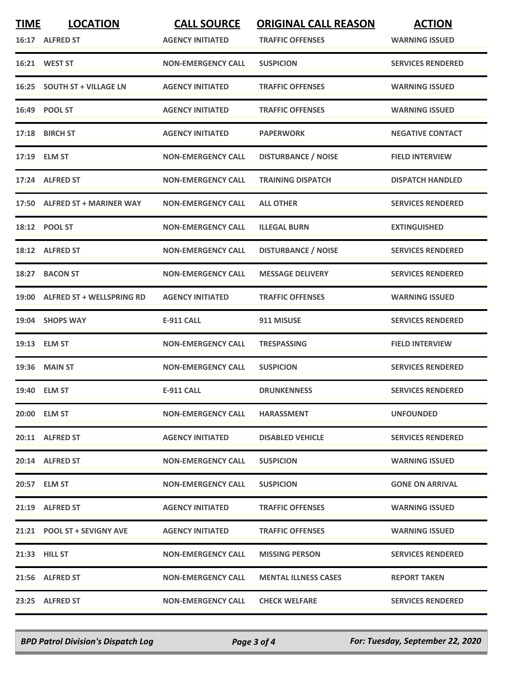| <b>TIME</b> | <b>LOCATION</b><br>16:17 ALFRED ST | <b>CALL SOURCE</b><br><b>AGENCY INITIATED</b> | <b>ORIGINAL CALL REASON</b><br><b>TRAFFIC OFFENSES</b> | <b>ACTION</b><br><b>WARNING ISSUED</b> |
|-------------|------------------------------------|-----------------------------------------------|--------------------------------------------------------|----------------------------------------|
|             | 16:21 WEST ST                      | <b>NON-EMERGENCY CALL</b>                     | <b>SUSPICION</b>                                       | <b>SERVICES RENDERED</b>               |
|             | 16:25 SOUTH ST + VILLAGE LN        | <b>AGENCY INITIATED</b>                       | <b>TRAFFIC OFFENSES</b>                                | <b>WARNING ISSUED</b>                  |
|             | 16:49 POOL ST                      | <b>AGENCY INITIATED</b>                       | <b>TRAFFIC OFFENSES</b>                                | <b>WARNING ISSUED</b>                  |
|             | 17:18 BIRCH ST                     | <b>AGENCY INITIATED</b>                       | <b>PAPERWORK</b>                                       | <b>NEGATIVE CONTACT</b>                |
|             | 17:19 ELM ST                       | <b>NON-EMERGENCY CALL</b>                     | <b>DISTURBANCE / NOISE</b>                             | <b>FIELD INTERVIEW</b>                 |
| 17:24       | <b>ALFRED ST</b>                   | <b>NON-EMERGENCY CALL</b>                     | <b>TRAINING DISPATCH</b>                               | <b>DISPATCH HANDLED</b>                |
|             | 17:50 ALFRED ST + MARINER WAY      | <b>NON-EMERGENCY CALL</b>                     | <b>ALL OTHER</b>                                       | <b>SERVICES RENDERED</b>               |
|             | 18:12 POOL ST                      | <b>NON-EMERGENCY CALL</b>                     | <b>ILLEGAL BURN</b>                                    | <b>EXTINGUISHED</b>                    |
|             | 18:12 ALFRED ST                    | <b>NON-EMERGENCY CALL</b>                     | <b>DISTURBANCE / NOISE</b>                             | <b>SERVICES RENDERED</b>               |
|             | 18:27 BACON ST                     | <b>NON-EMERGENCY CALL</b>                     | <b>MESSAGE DELIVERY</b>                                | <b>SERVICES RENDERED</b>               |
|             | 19:00 ALFRED ST + WELLSPRING RD    | <b>AGENCY INITIATED</b>                       | <b>TRAFFIC OFFENSES</b>                                | <b>WARNING ISSUED</b>                  |
|             | 19:04 SHOPS WAY                    | <b>E-911 CALL</b>                             | 911 MISUSE                                             | <b>SERVICES RENDERED</b>               |
|             | 19:13 ELM ST                       | <b>NON-EMERGENCY CALL</b>                     | <b>TRESPASSING</b>                                     | <b>FIELD INTERVIEW</b>                 |
|             | <b>19:36 MAIN ST</b>               | <b>NON-EMERGENCY CALL</b>                     | <b>SUSPICION</b>                                       | <b>SERVICES RENDERED</b>               |
|             | 19:40 ELM ST                       | <b>E-911 CALL</b>                             | <b>DRUNKENNESS</b>                                     | <b>SERVICES RENDERED</b>               |
|             | 20:00 ELM ST                       | <b>NON-EMERGENCY CALL</b>                     | <b>HARASSMENT</b>                                      | <b>UNFOUNDED</b>                       |
|             | 20:11 ALFRED ST                    | <b>AGENCY INITIATED</b>                       | <b>DISABLED VEHICLE</b>                                | <b>SERVICES RENDERED</b>               |
|             | 20:14 ALFRED ST                    | <b>NON-EMERGENCY CALL</b>                     | <b>SUSPICION</b>                                       | <b>WARNING ISSUED</b>                  |
|             | 20:57 ELM ST                       | <b>NON-EMERGENCY CALL</b>                     | <b>SUSPICION</b>                                       | <b>GONE ON ARRIVAL</b>                 |
|             | 21:19 ALFRED ST                    | <b>AGENCY INITIATED</b>                       | <b>TRAFFIC OFFENSES</b>                                | <b>WARNING ISSUED</b>                  |
|             | 21:21 POOL ST + SEVIGNY AVE        | <b>AGENCY INITIATED</b>                       | <b>TRAFFIC OFFENSES</b>                                | <b>WARNING ISSUED</b>                  |
|             | 21:33 HILL ST                      | <b>NON-EMERGENCY CALL</b>                     | <b>MISSING PERSON</b>                                  | <b>SERVICES RENDERED</b>               |
|             | 21:56 ALFRED ST                    | <b>NON-EMERGENCY CALL</b>                     | <b>MENTAL ILLNESS CASES</b>                            | <b>REPORT TAKEN</b>                    |
|             | 23:25 ALFRED ST                    | <b>NON-EMERGENCY CALL</b>                     | <b>CHECK WELFARE</b>                                   | <b>SERVICES RENDERED</b>               |

*BPD Patrol Division's Dispatch Log Page 3 of 4 For: Tuesday, September 22, 2020*